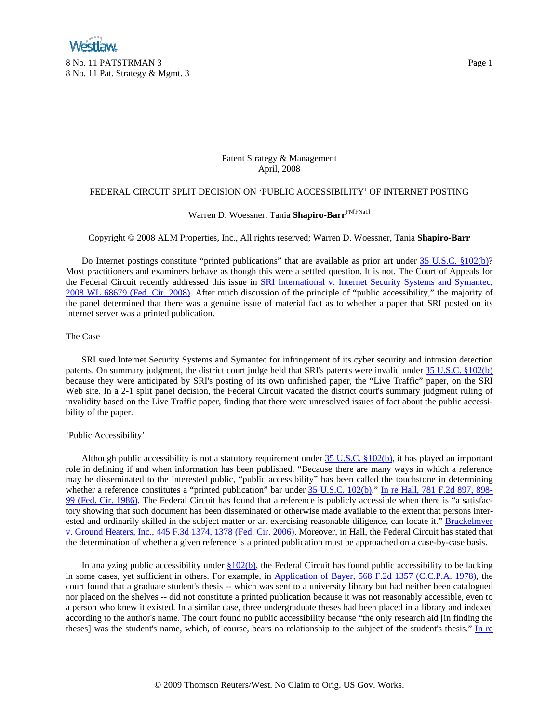# Patent Strategy & Management April, 2008

# FEDERAL CIRCUIT SPLIT DECISION ON 'PUBLIC ACCESSIBILITY' OF INTERNET POSTING

# Warren D. Woessner, Tania **Shapiro**-**Barr**FN[FNa1]

## Copyright © 2008 ALM Properties, Inc., All rights reserved; Warren D. Woessner, Tania **Shapiro**-**Barr**

Do Internet postings constitute "printed publications" that are available as prior art under [35 U.S.C. §102\(b\)?](http://www.westlaw.com/Find/Default.wl?rs=dfa1.0&vr=2.0&DB=1000546&DocName=35USCAS102&FindType=L&ReferencePositionType=T&ReferencePosition=SP_a83b000018c76) Most practitioners and examiners behave as though this were a settled question. It is not. The Court of Appeals for the Federal Circuit recently addressed this issue in [SRI International v. Internet Security Systems and Symantec,](http://www.westlaw.com/Find/Default.wl?rs=dfa1.0&vr=2.0&DB=0000999&FindType=Y&SerialNum=2014628559)  [2008 WL 68679 \(Fed. Cir. 2008\)](http://www.westlaw.com/Find/Default.wl?rs=dfa1.0&vr=2.0&DB=0000999&FindType=Y&SerialNum=2014628559). After much discussion of the principle of "public accessibility," the majority of the panel determined that there was a genuine issue of material fact as to whether a paper that SRI posted on its internet server was a printed publication.

# The Case

 SRI sued Internet Security Systems and Symantec for infringement of its cyber security and intrusion detection patents. On summary judgment, the district court judge held that SRI's patents were invalid under [35 U.S.C. §102\(b\)](http://www.westlaw.com/Find/Default.wl?rs=dfa1.0&vr=2.0&DB=1000546&DocName=35USCAS102&FindType=L&ReferencePositionType=T&ReferencePosition=SP_a83b000018c76) because they were anticipated by SRI's posting of its own unfinished paper, the "Live Traffic" paper, on the SRI Web site. In a 2-1 split panel decision, the Federal Circuit vacated the district court's summary judgment ruling of invalidity based on the Live Traffic paper, finding that there were unresolved issues of fact about the public accessibility of the paper.

## 'Public Accessibility'

Although public accessibility is not a statutory requirement under [35 U.S.C. §102\(b\)](http://www.westlaw.com/Find/Default.wl?rs=dfa1.0&vr=2.0&DB=1000546&DocName=35USCAS102&FindType=L&ReferencePositionType=T&ReferencePosition=SP_a83b000018c76), it has played an important role in defining if and when information has been published. "Because there are many ways in which a reference may be disseminated to the interested public, "public accessibility" has been called the touchstone in determining whether a reference constitutes a "printed publication" bar under [35 U.S.C. 102\(b\)](http://www.westlaw.com/Find/Default.wl?rs=dfa1.0&vr=2.0&DB=1000546&DocName=35USCAS102&FindType=L&ReferencePositionType=T&ReferencePosition=SP_a83b000018c76)." [In re Hall, 781 F.2d 897, 898-](http://www.westlaw.com/Find/Default.wl?rs=dfa1.0&vr=2.0&DB=350&FindType=Y&ReferencePositionType=S&SerialNum=1986102521&ReferencePosition=898) [99 \(Fed. Cir. 1986\).](http://www.westlaw.com/Find/Default.wl?rs=dfa1.0&vr=2.0&DB=350&FindType=Y&ReferencePositionType=S&SerialNum=1986102521&ReferencePosition=898) The Federal Circuit has found that a reference is publicly accessible when there is "a satisfactory showing that such document has been disseminated or otherwise made available to the extent that persons interested and ordinarily skilled in the subject matter or art exercising reasonable diligence, can locate it." Bruckelmyer [v. Ground Heaters, Inc., 445 F.3d 1374, 1378 \(Fed. Cir. 2006\)](http://www.westlaw.com/Find/Default.wl?rs=dfa1.0&vr=2.0&DB=506&FindType=Y&ReferencePositionType=S&SerialNum=2008954957&ReferencePosition=1378). Moreover, in Hall, the Federal Circuit has stated that the determination of whether a given reference is a printed publication must be approached on a case-by-case basis.

In analyzing public accessibility under  $\S102(b)$ , the Federal Circuit has found public accessibility to be lacking in some cases, yet sufficient in others. For example, in [Application of Bayer, 568 F.2d 1357 \(C.C.P.A. 1978\),](http://www.westlaw.com/Find/Default.wl?rs=dfa1.0&vr=2.0&DB=350&FindType=Y&SerialNum=1978102319) the court found that a graduate student's thesis -- which was sent to a university library but had neither been catalogued nor placed on the shelves -- did not constitute a printed publication because it was not reasonably accessible, even to a person who knew it existed. In a similar case, three undergraduate theses had been placed in a library and indexed according to the author's name. The court found no public accessibility because "the only research aid [in finding the theses] was the student's name, which, of course, bears no relationship to the subject of the student's thesis." In re